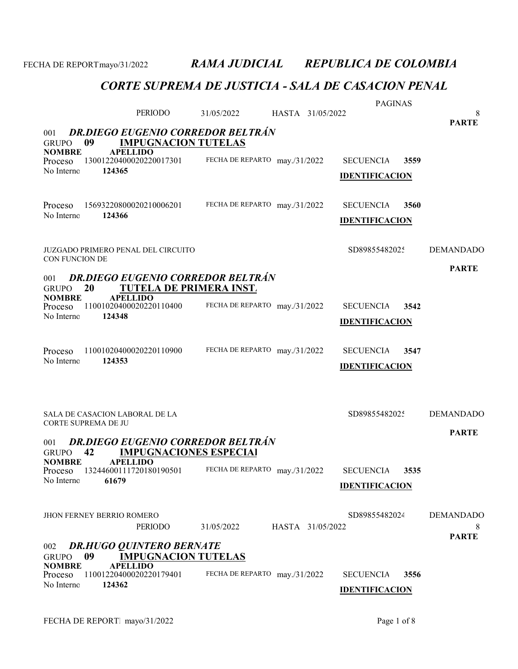|                                                                                                     | PERIODO                                                                                                                                | 31/05/2022                    |  | HASTA 31/05/2022 | <b>PAGINAS</b>                            |      | 8                                     |
|-----------------------------------------------------------------------------------------------------|----------------------------------------------------------------------------------------------------------------------------------------|-------------------------------|--|------------------|-------------------------------------------|------|---------------------------------------|
| <b>DR.DIEGO EUGENIO CORREDOR BELTRÁN</b><br>001<br><b>IMPUGNACION TUTELAS</b><br><b>GRUPO</b><br>09 |                                                                                                                                        |                               |  |                  |                                           |      | <b>PARTE</b>                          |
| <b>NOMBRE</b><br>Proceso<br>No Interno                                                              | <b>APELLIDO</b><br>13001220400020220017301<br>124365                                                                                   | FECHA DE REPARTO may./31/2022 |  |                  | <b>SECUENCIA</b><br><b>IDENTIFICACION</b> | 3559 |                                       |
| Proceso<br>No Interno                                                                               | 15693220800020210006201<br>124366                                                                                                      | FECHA DE REPARTO may./31/2022 |  |                  | <b>SECUENCIA</b><br><b>IDENTIFICACION</b> | 3560 |                                       |
| CON FUNCION DE                                                                                      | JUZGADO PRIMERO PENAL DEL CIRCUITO                                                                                                     |                               |  |                  | SD89855482025                             |      | <b>DEMANDADO</b>                      |
| 001<br><b>GRUPO</b><br><b>NOMBRE</b>                                                                | <b>DR.DIEGO EUGENIO CORREDOR BELTRÁN</b><br>TUTELA DE PRIMERA INST.<br>20<br><b>APELLIDO</b>                                           |                               |  |                  |                                           |      | <b>PARTE</b>                          |
| Proceso<br>No Interno                                                                               | 11001020400020220110400<br>124348                                                                                                      | FECHA DE REPARTO may./31/2022 |  |                  | <b>SECUENCIA</b><br><b>IDENTIFICACION</b> | 3542 |                                       |
| Proceso<br>No Interno                                                                               | 11001020400020220110900<br>124353                                                                                                      | FECHA DE REPARTO may./31/2022 |  |                  | <b>SECUENCIA</b><br><b>IDENTIFICACION</b> | 3547 |                                       |
|                                                                                                     | SALA DE CASACION LABORAL DE LA<br>CORTE SUPREMA DE JU                                                                                  |                               |  |                  | SD89855482025                             |      | <b>DEMANDADO</b><br><b>PARTE</b>      |
| 001<br><b>GRUPO</b><br><b>NOMBRE</b><br>Proceso<br>No Interno                                       | <b>DR.DIEGO EUGENIO CORREDOR BELTRÁN</b><br>42<br><b>IMPUGNACIONES ESPECIAL</b><br><b>APELLIDO</b><br>13244600111720180190501<br>61679 | FECHA DE REPARTO may./31/2022 |  |                  | <b>SECUENCIA</b><br><b>IDENTIFICACION</b> | 3535 |                                       |
|                                                                                                     | <b>JHON FERNEY BERRIO ROMERO</b><br>PERIODO                                                                                            | 31/05/2022                    |  | HASTA 31/05/2022 | SD89855482024                             |      | <b>DEMANDADO</b><br>8<br><b>PARTE</b> |
| 002<br><b>GRUPO</b><br><b>NOMBRE</b><br>Proceso<br>No Interno                                       | <b>DR.HUGO QUINTERO BERNATE</b><br>09<br><b>IMPUGNACION TUTELAS</b><br><b>APELLIDO</b><br>11001220400020220179401<br>124362            | FECHA DE REPARTO may./31/2022 |  |                  | <b>SECUENCIA</b><br><b>IDENTIFICACION</b> | 3556 |                                       |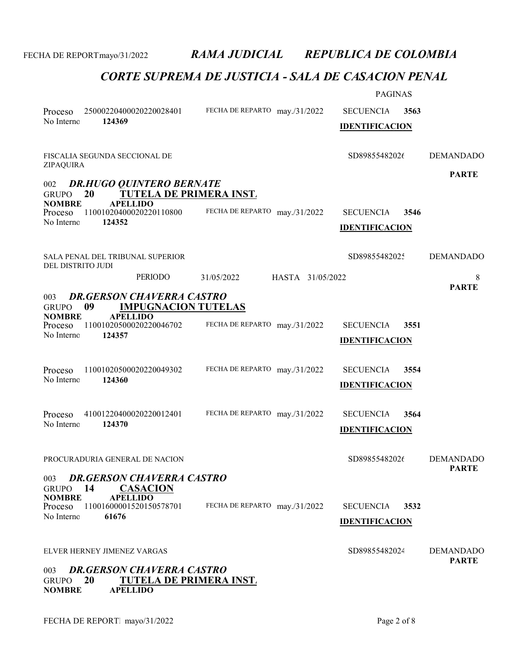|                                                                                          |                               |                  | <b>PAGINAS</b>        |      |                                  |
|------------------------------------------------------------------------------------------|-------------------------------|------------------|-----------------------|------|----------------------------------|
| 25000220400020220028401<br>Proceso                                                       | FECHA DE REPARTO may./31/2022 |                  | <b>SECUENCIA</b>      | 3563 |                                  |
| No Interno<br>124369                                                                     |                               |                  | <b>IDENTIFICACION</b> |      |                                  |
|                                                                                          |                               |                  |                       |      |                                  |
| FISCALIA SEGUNDA SECCIONAL DE<br>ZIPAQUIRA                                               |                               |                  | SD89855482026         |      | <b>DEMANDADO</b>                 |
| <b>DR.HUGO QUINTERO BERNATE</b><br>002                                                   |                               |                  |                       |      | <b>PARTE</b>                     |
| TUTELA DE PRIMERA INST.<br>20<br><b>GRUPO</b>                                            |                               |                  |                       |      |                                  |
| <b>NOMBRE</b><br><b>APELLIDO</b><br>11001020400020220110800<br>Proceso                   | FECHA DE REPARTO may./31/2022 |                  | <b>SECUENCIA</b>      | 3546 |                                  |
| No Interno<br>124352                                                                     |                               |                  | <b>IDENTIFICACION</b> |      |                                  |
|                                                                                          |                               |                  |                       |      |                                  |
| SALA PENAL DEL TRIBUNAL SUPERIOR<br>DEL DISTRITO JUDI                                    |                               |                  | SD89855482025         |      | <b>DEMANDADO</b>                 |
| <b>PERIODO</b>                                                                           | 31/05/2022                    | HASTA 31/05/2022 |                       |      | 8                                |
| <b>DR.GERSON CHAVERRA CASTRO</b><br>003                                                  |                               |                  |                       |      | <b>PARTE</b>                     |
| 09<br><b>IMPUGNACION TUTELAS</b><br><b>GRUPO</b>                                         |                               |                  |                       |      |                                  |
| <b>APELLIDO</b><br><b>NOMBRE</b><br>11001020500020220046702<br>Proceso                   | FECHA DE REPARTO may./31/2022 |                  | <b>SECUENCIA</b>      | 3551 |                                  |
| No Interno<br>124357                                                                     |                               |                  | <b>IDENTIFICACION</b> |      |                                  |
|                                                                                          |                               |                  |                       |      |                                  |
| 11001020500020220049302<br>Proceso                                                       | FECHA DE REPARTO may./31/2022 |                  | <b>SECUENCIA</b>      | 3554 |                                  |
| No Interno<br>124360                                                                     |                               |                  | <b>IDENTIFICACION</b> |      |                                  |
|                                                                                          |                               |                  |                       |      |                                  |
| 41001220400020220012401<br>Proceso                                                       | FECHA DE REPARTO may./31/2022 |                  | <b>SECUENCIA</b>      | 3564 |                                  |
| No Interno<br>124370                                                                     |                               |                  | <b>IDENTIFICACION</b> |      |                                  |
|                                                                                          |                               |                  |                       |      |                                  |
| PROCURADURIA GENERAL DE NACION                                                           |                               |                  | SD89855482026         |      | <b>DEMANDADO</b>                 |
| <b>DR.GERSON CHAVERRA CASTRO</b><br>003                                                  |                               |                  |                       |      | <b>PARTE</b>                     |
| 14<br><b>CASACION</b><br><b>GRUPO</b>                                                    |                               |                  |                       |      |                                  |
| <b>NOMBRE</b><br><b>APELLIDO</b><br>11001600001520150578701<br>Proceso                   | FECHA DE REPARTO may./31/2022 |                  | <b>SECUENCIA</b>      | 3532 |                                  |
| No Interno<br>61676                                                                      |                               |                  | <b>IDENTIFICACION</b> |      |                                  |
|                                                                                          |                               |                  |                       |      |                                  |
| ELVER HERNEY JIMENEZ VARGAS                                                              |                               |                  | SD89855482024         |      | <b>DEMANDADO</b><br><b>PARTE</b> |
| <b>DR.GERSON CHAVERRA CASTRO</b><br>003                                                  |                               |                  |                       |      |                                  |
| 20<br><b>TUTELA DE PRIMERA INST.</b><br><b>GRUPO</b><br><b>APELLIDO</b><br><b>NOMBRE</b> |                               |                  |                       |      |                                  |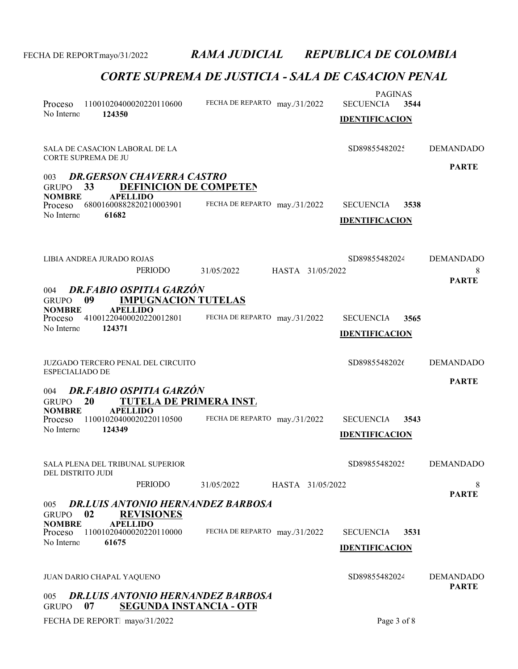| Proceso<br>No Interno<br>124350                                               | 11001020400020220110600                                                                                         |                                          | FECHA DE REPARTO may./31/2022 | <b>PAGINAS</b><br><b>SECUENCIA</b><br><b>IDENTIFICACION</b> | 3544 |                                       |
|-------------------------------------------------------------------------------|-----------------------------------------------------------------------------------------------------------------|------------------------------------------|-------------------------------|-------------------------------------------------------------|------|---------------------------------------|
| SALA DE CASACION LABORAL DE LA<br>CORTE SUPREMA DE JU                         |                                                                                                                 |                                          |                               | SD89855482025                                               |      | <b>DEMANDADO</b>                      |
| 003<br>33<br><b>GRUPO</b><br><b>NOMBRE</b><br>Proceso<br>No Interno<br>61682  | <b>DR.GERSON CHAVERRA CASTRO</b><br><b>DEFINICION DE COMPETEN</b><br><b>APELLIDO</b><br>68001600882820210003901 |                                          | FECHA DE REPARTO may./31/2022 | <b>SECUENCIA</b><br><b>IDENTIFICACION</b>                   | 3538 | <b>PARTE</b>                          |
| LIBIA ANDREA JURADO ROJAS                                                     | PERIODO                                                                                                         | 31/05/2022                               | HASTA 31/05/2022              | SD89855482024                                               |      | <b>DEMANDADO</b><br>8<br><b>PARTE</b> |
| 004<br>09<br><b>GRUPO</b><br><b>NOMBRE</b><br>Proceso<br>No Interno<br>124371 | DR.FABIO OSPITIA GARZÓN<br><b>IMPUGNACION TUTELAS</b><br><b>APELLIDO</b><br>41001220400020220012801             |                                          | FECHA DE REPARTO may./31/2022 | <b>SECUENCIA</b><br><b>IDENTIFICACION</b>                   | 3565 |                                       |
| JUZGADO TERCERO PENAL DEL CIRCUITO<br><b>ESPECIALIADO DE</b>                  |                                                                                                                 |                                          |                               | SD89855482026                                               |      | <b>DEMANDADO</b>                      |
| 004<br>20<br><b>GRUPO</b>                                                     | DR.FABIO OSPITIA GARZÓN<br><b>TUTELA DE PRIMERA INST.</b>                                                       |                                          |                               |                                                             |      | <b>PARTE</b>                          |
| <b>NOMBRE</b><br>Proceso<br>No Interno<br>124349                              | <b>APELLIDO</b><br>11001020400020220110500                                                                      |                                          | FECHA DE REPARTO may./31/2022 | <b>SECUENCIA</b><br><b>IDENTIFICACION</b>                   | 3543 |                                       |
| SALA PLENA DEL TRIBUNAL SUPERIOR<br>DEL DISTRITO JUDI                         |                                                                                                                 |                                          |                               | SD89855482025                                               |      | <b>DEMANDADO</b>                      |
|                                                                               | PERIODO                                                                                                         | 31/05/2022                               | HASTA 31/05/2022              |                                                             |      | 8<br><b>PARTE</b>                     |
| 005<br>02<br><b>GRUPO</b>                                                     | <b>REVISIONES</b>                                                                                               | <b>DR.LUIS ANTONIO HERNANDEZ BARBOSA</b> |                               |                                                             |      |                                       |
| <b>NOMBRE</b><br>Proceso<br>No Interno<br>61675                               | <b>APELLIDO</b><br>11001020400020220110000                                                                      |                                          | FECHA DE REPARTO may./31/2022 | <b>SECUENCIA</b><br><b>IDENTIFICACION</b>                   | 3531 |                                       |
| JUAN DARIO CHAPAL YAQUENO                                                     |                                                                                                                 |                                          |                               | SD89855482024                                               |      | <b>DEMANDADO</b>                      |
| 005<br>07<br><b>GRUPO</b>                                                     | <b>SEGUNDA INSTANCIA - OTR</b>                                                                                  | DR.LUIS ANTONIO HERNANDEZ BARBOSA        |                               |                                                             |      | <b>PARTE</b>                          |
| FECHA DE REPORT. mayo/31/2022                                                 |                                                                                                                 |                                          |                               | Page 3 of 8                                                 |      |                                       |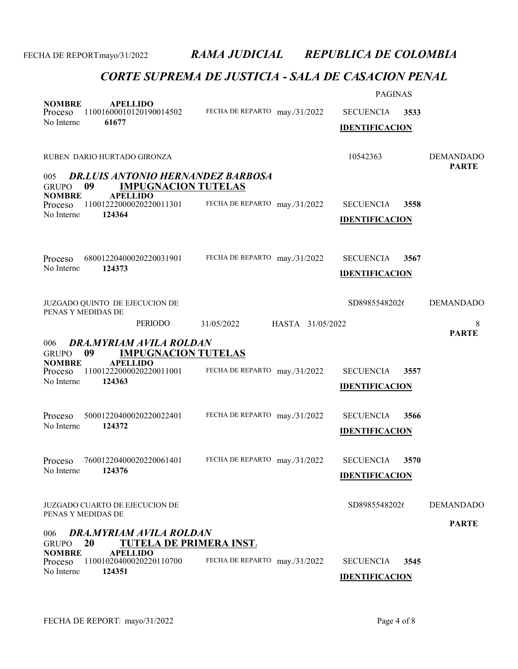|                               |                                                                        |                                | <b>PAGINAS</b>        |                  |
|-------------------------------|------------------------------------------------------------------------|--------------------------------|-----------------------|------------------|
| <b>NOMBRE</b><br>Proceso      | <b>APELLIDO</b><br>11001600010120190014502                             | FECHA DE REPARTO may./31/2022  | <b>SECUENCIA</b>      | 3533             |
| No Interno                    | 61677                                                                  |                                | <b>IDENTIFICACION</b> |                  |
|                               |                                                                        |                                |                       |                  |
|                               | RUBEN DARIO HURTADO GIRONZA                                            |                                | 10542363              | <b>DEMANDADO</b> |
| 005                           | <b>DR.LUIS ANTONIO HERNANDEZ BARBOSA</b>                               |                                |                       | <b>PARTE</b>     |
| <b>GRUPO</b>                  | <b>IMPUGNACION TUTELAS</b><br>09                                       |                                |                       |                  |
| <b>NOMBRE</b><br>Proceso      | <b>APELLIDO</b><br>11001222000020220011301                             | FECHA DE REPARTO may./31/2022  | <b>SECUENCIA</b>      | 3558             |
| No Interno                    | 124364                                                                 |                                | <b>IDENTIFICACION</b> |                  |
|                               |                                                                        |                                |                       |                  |
|                               |                                                                        |                                |                       |                  |
| Proceso<br>No Interno         | 68001220400020220031901<br>124373                                      | FECHA DE REPARTO may./31/2022  | <b>SECUENCIA</b>      | 3567             |
|                               |                                                                        |                                | <b>IDENTIFICACION</b> |                  |
|                               |                                                                        |                                |                       |                  |
|                               | JUZGADO QUINTO DE EJECUCION DE<br>PENAS Y MEDIDAS DE                   |                                | SD89855482026         | <b>DEMANDADO</b> |
|                               | <b>PERIODO</b>                                                         | HASTA 31/05/2022<br>31/05/2022 |                       | 8                |
| 006                           | DRA.MYRIAM AVILA ROLDAN                                                |                                |                       | <b>PARTE</b>     |
| <b>GRUPO</b><br><b>NOMBRE</b> | 09<br><b>IMPUGNACION TUTELAS</b><br><b>APELLIDO</b>                    |                                |                       |                  |
| Proceso                       | 11001222000020220011001                                                | FECHA DE REPARTO may./31/2022  | <b>SECUENCIA</b>      | 3557             |
| No Interno                    | 124363                                                                 |                                | <b>IDENTIFICACION</b> |                  |
|                               |                                                                        |                                |                       |                  |
| Proceso                       | 50001220400020220022401                                                | FECHA DE REPARTO may./31/2022  | <b>SECUENCIA</b>      | 3566             |
| No Interno                    | 124372                                                                 |                                | <b>IDENTIFICACION</b> |                  |
|                               |                                                                        |                                |                       |                  |
| Proceso<br>No Interno         | 76001220400020220061401<br>124376                                      | FECHA DE REPARTO may./31/2022  | <b>SECUENCIA</b>      | 3570             |
|                               |                                                                        |                                | <b>IDENTIFICACION</b> |                  |
|                               |                                                                        |                                |                       |                  |
|                               | JUZGADO CUARTO DE EJECUCION DE<br>PENAS Y MEDIDAS DE                   |                                | SD89855482026         | <b>DEMANDADO</b> |
|                               |                                                                        |                                |                       | <b>PARTE</b>     |
| 006<br>GRUPO                  | <b>DRA.MYRIAM AVILA ROLDAN</b><br><b>TUTELA DE PRIMERA INST.</b><br>20 |                                |                       |                  |
| <b>NOMBRE</b><br>Proceso      | <b>APELLIDO</b><br>11001020400020220110700                             | FECHA DE REPARTO may./31/2022  | <b>SECUENCIA</b>      | 3545             |
| No Interno                    | 124351                                                                 |                                | <b>IDENTIFICACION</b> |                  |
|                               |                                                                        |                                |                       |                  |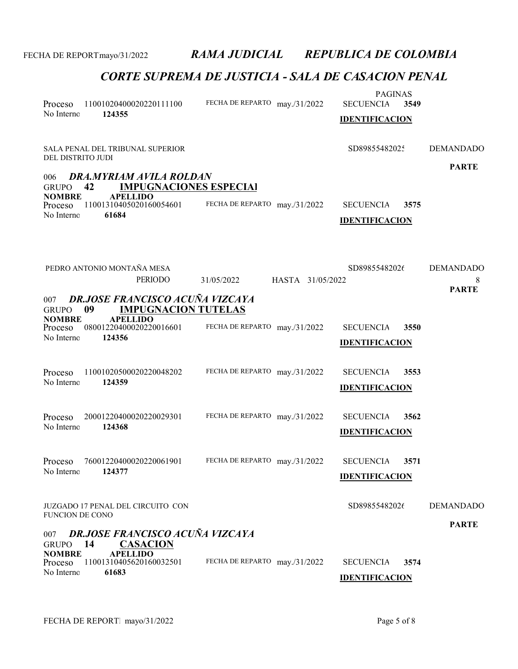| Proceso<br>No Interno                                         | 11001020400020220111100<br>124355                                                                                     | FECHA DE REPARTO may./31/2022  | <b>PAGINAS</b><br><b>SECUENCIA</b><br>3549<br><b>IDENTIFICACION</b> |                   |
|---------------------------------------------------------------|-----------------------------------------------------------------------------------------------------------------------|--------------------------------|---------------------------------------------------------------------|-------------------|
| DEL DISTRITO JUDI                                             | SALA PENAL DEL TRIBUNAL SUPERIOR                                                                                      |                                | SD89855482025                                                       | <b>DEMANDADO</b>  |
| 006<br><b>GRUPO</b><br><b>NOMBRE</b><br>Proceso<br>No Interno | DRA.MYRIAM AVILA ROLDAN<br>42<br><b>IMPUGNACIONES ESPECIAL</b><br><b>APELLIDO</b><br>11001310405020160054601<br>61684 | FECHA DE REPARTO may./31/2022  | <b>SECUENCIA</b><br>3575<br><b>IDENTIFICACION</b>                   | <b>PARTE</b>      |
|                                                               | PEDRO ANTONIO MONTAÑA MESA                                                                                            |                                | SD89855482026                                                       | <b>DEMANDADO</b>  |
|                                                               | <b>PERIODO</b>                                                                                                        | 31/05/2022<br>HASTA 31/05/2022 |                                                                     | 8<br><b>PARTE</b> |
| 007<br><b>GRUPO</b>                                           | <b>DR.JOSE FRANCISCO ACUÑA VIZCAYA</b><br><b>IMPUGNACION TUTELAS</b><br>09                                            |                                |                                                                     |                   |
| <b>NOMBRE</b><br>Proceso<br>No Interno                        | <b>APELLIDO</b><br>08001220400020220016601<br>124356                                                                  | FECHA DE REPARTO may./31/2022  | <b>SECUENCIA</b><br>3550<br><b>IDENTIFICACION</b>                   |                   |
| Proceso<br>No Interno                                         | 11001020500020220048202<br>124359                                                                                     | FECHA DE REPARTO may./31/2022  | <b>SECUENCIA</b><br>3553<br><b>IDENTIFICACION</b>                   |                   |
| Proceso<br>No Interno                                         | 20001220400020220029301<br>124368                                                                                     | FECHA DE REPARTO may./31/2022  | <b>SECUENCIA</b><br>3562<br><b>IDENTIFICACION</b>                   |                   |
| Proceso<br>No Interno                                         | 76001220400020220061901<br>124377                                                                                     | FECHA DE REPARTO may./31/2022  | <b>SECUENCIA</b><br>3571<br><b>IDENTIFICACION</b>                   |                   |
| <b>FUNCION DE CONO</b>                                        | JUZGADO 17 PENAL DEL CIRCUITO CON                                                                                     |                                | SD89855482026                                                       | <b>DEMANDADO</b>  |
| 007<br><b>GRUPO</b>                                           | <b>DR.JOSE FRANCISCO ACUÑA VIZCAYA</b><br>14<br><b>CASACION</b>                                                       |                                |                                                                     | <b>PARTE</b>      |
| <b>NOMBRE</b><br>Proceso<br>No Interno                        | <b>APELLIDO</b><br>11001310405620160032501<br>61683                                                                   | FECHA DE REPARTO may./31/2022  | <b>SECUENCIA</b><br>3574<br><b>IDENTIFICACION</b>                   |                   |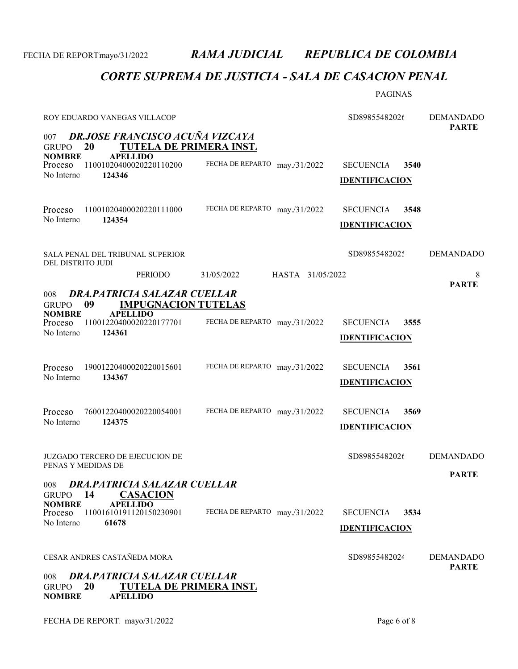# CORTE SUPREMA DE JUSTICIA - SALA DE CASACION PENAL

PAGINAS

| ROY EDUARDO VANEGAS VILLACOP                                                                                                    |                  | SD89855482026         |      | <b>DEMANDADO</b><br><b>PARTE</b> |  |  |
|---------------------------------------------------------------------------------------------------------------------------------|------------------|-----------------------|------|----------------------------------|--|--|
| <b>DR.JOSE FRANCISCO ACUÑA VIZCAYA</b><br>007<br>20<br>TUTELA DE PRIMERA INST.<br><b>GRUPO</b>                                  |                  |                       |      |                                  |  |  |
| <b>NOMBRE</b><br><b>APELLIDO</b><br>FECHA DE REPARTO may./31/2022<br>11001020400020220110200<br>Proceso                         |                  | <b>SECUENCIA</b>      | 3540 |                                  |  |  |
| No Interno<br>124346                                                                                                            |                  | <b>IDENTIFICACION</b> |      |                                  |  |  |
|                                                                                                                                 |                  |                       |      |                                  |  |  |
| 11001020400020220111000<br>FECHA DE REPARTO may./31/2022<br>Proceso                                                             |                  | <b>SECUENCIA</b>      | 3548 |                                  |  |  |
| No Interno<br>124354                                                                                                            |                  | <b>IDENTIFICACION</b> |      |                                  |  |  |
| SALA PENAL DEL TRIBUNAL SUPERIOR<br>DEL DISTRITO JUDI                                                                           |                  | SD89855482025         |      | <b>DEMANDADO</b>                 |  |  |
| PERIODO<br>31/05/2022                                                                                                           | HASTA 31/05/2022 |                       |      | 8                                |  |  |
| <b>DRA, PATRICIA SALAZAR CUELLAR</b><br>008                                                                                     |                  |                       |      | <b>PARTE</b>                     |  |  |
| <b>IMPUGNACION TUTELAS</b><br>09<br><b>GRUPO</b><br><b>NOMBRE</b><br><b>APELLIDO</b>                                            |                  |                       |      |                                  |  |  |
| FECHA DE REPARTO may./31/2022<br>11001220400020220177701<br>Proceso<br>No Interno<br>124361                                     |                  | <b>SECUENCIA</b>      | 3555 |                                  |  |  |
|                                                                                                                                 |                  | <b>IDENTIFICACION</b> |      |                                  |  |  |
| FECHA DE REPARTO may./31/2022<br>19001220400020220015601<br>Proceso                                                             |                  | <b>SECUENCIA</b>      | 3561 |                                  |  |  |
| No Interno<br>134367                                                                                                            |                  | <b>IDENTIFICACION</b> |      |                                  |  |  |
|                                                                                                                                 |                  |                       |      |                                  |  |  |
| FECHA DE REPARTO may./31/2022<br>76001220400020220054001<br>Proceso                                                             |                  | <b>SECUENCIA</b>      | 3569 |                                  |  |  |
| No Interno<br>124375                                                                                                            |                  | <b>IDENTIFICACION</b> |      |                                  |  |  |
| JUZGADO TERCERO DE EJECUCION DE                                                                                                 |                  | SD89855482026         |      | <b>DEMANDADO</b>                 |  |  |
| PENAS Y MEDIDAS DE                                                                                                              |                  |                       |      | <b>PARTE</b>                     |  |  |
| DRA.PATRICIA SALAZAR CUELLAR<br>008<br><b>CASACION</b><br>14<br><b>GRUPO</b>                                                    |                  |                       |      |                                  |  |  |
| <b>APELLIDO</b><br><b>NOMBRE</b><br>11001610191120150230901<br>FECHA DE REPARTO may./31/2022<br>Proceso                         |                  | <b>SECUENCIA</b>      | 3534 |                                  |  |  |
| No Interno<br>61678                                                                                                             |                  | <b>IDENTIFICACION</b> |      |                                  |  |  |
|                                                                                                                                 |                  |                       |      |                                  |  |  |
| CESAR ANDRES CASTAÑEDA MORA                                                                                                     |                  | SD89855482024         |      | <b>DEMANDADO</b><br><b>PARTE</b> |  |  |
| DRA.PATRICIA SALAZAR CUELLAR<br>008<br>20<br><b>TUTELA DE PRIMERA INST.</b><br><b>GRUPO</b><br><b>NOMBRE</b><br><b>APELLIDO</b> |                  |                       |      |                                  |  |  |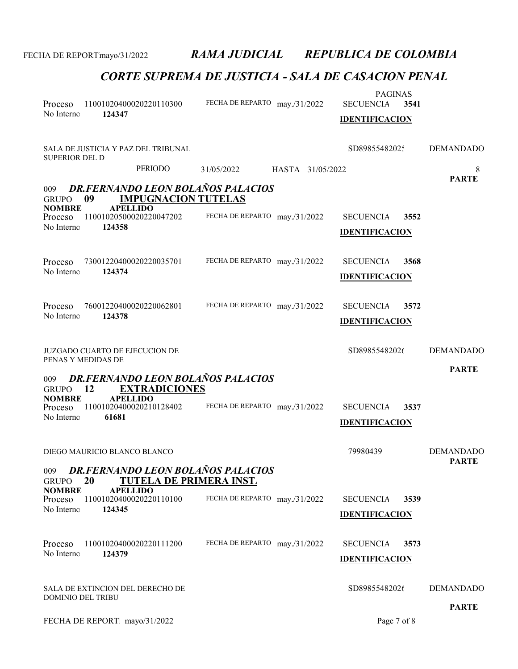| Proceso<br>No Interno    | 124347                                | 11001020400020220110300             | FECHA DE REPARTO may./31/2022            |                  | <b>PAGINAS</b><br><b>SECUENCIA</b><br><b>IDENTIFICACION</b> | 3541 |                                  |
|--------------------------|---------------------------------------|-------------------------------------|------------------------------------------|------------------|-------------------------------------------------------------|------|----------------------------------|
| <b>SUPERIOR DEL D</b>    |                                       | SALA DE JUSTICIA Y PAZ DEL TRIBUNAL |                                          |                  | SD89855482025                                               |      | <b>DEMANDADO</b>                 |
|                          |                                       | <b>PERIODO</b>                      | 31/05/2022                               | HASTA 31/05/2022 |                                                             |      | 8                                |
| 009<br><b>GRUPO</b>      | 09                                    | <b>IMPUGNACION TUTELAS</b>          | <b>DR.FERNANDO LEON BOLAÑOS PALACIOS</b> |                  |                                                             |      | <b>PARTE</b>                     |
| <b>NOMBRE</b><br>Proceso | <b>APELLIDO</b>                       | 11001020500020220047202             | FECHA DE REPARTO may./31/2022            |                  | <b>SECUENCIA</b>                                            | 3552 |                                  |
| No Interno               | 124358                                |                                     |                                          |                  | <b>IDENTIFICACION</b>                                       |      |                                  |
|                          |                                       |                                     |                                          |                  |                                                             |      |                                  |
| Proceso                  |                                       | 73001220400020220035701             | FECHA DE REPARTO may./31/2022            |                  | <b>SECUENCIA</b>                                            | 3568 |                                  |
| No Interno               | 124374                                |                                     |                                          |                  | <b>IDENTIFICACION</b>                                       |      |                                  |
|                          |                                       |                                     |                                          |                  |                                                             |      |                                  |
| Proceso                  |                                       | 76001220400020220062801             | FECHA DE REPARTO may./31/2022            |                  | <b>SECUENCIA</b>                                            | 3572 |                                  |
| No Interno               | 124378                                |                                     |                                          |                  | <b>IDENTIFICACION</b>                                       |      |                                  |
|                          |                                       |                                     |                                          |                  |                                                             |      |                                  |
| PENAS Y MEDIDAS DE       | <b>JUZGADO CUARTO DE EJECUCION DE</b> |                                     |                                          |                  | SD89855482026                                               |      | <b>DEMANDADO</b>                 |
|                          |                                       |                                     |                                          |                  |                                                             |      | <b>PARTE</b>                     |
| 009<br><b>GRUPO</b>      | 12                                    | <b>EXTRADICIONES</b>                | <b>DR.FERNANDO LEON BOLAÑOS PALACIOS</b> |                  |                                                             |      |                                  |
| <b>NOMBRE</b>            | <b>APELLIDO</b>                       | 11001020400020210128402             | FECHA DE REPARTO may./31/2022            |                  | <b>SECUENCIA</b>                                            | 3537 |                                  |
| Proceso<br>No Interno    | 61681                                 |                                     |                                          |                  | <b>IDENTIFICACION</b>                                       |      |                                  |
|                          |                                       |                                     |                                          |                  |                                                             |      |                                  |
|                          | DIEGO MAURICIO BLANCO BLANCO          |                                     |                                          |                  | 79980439                                                    |      | <b>DEMANDADO</b><br><b>PARTE</b> |
| 009<br><b>GRUPO</b>      | 20                                    | <b>TUTELA DE PRIMERA INST.</b>      | DR.FERNANDO LEON BOLAÑOS PALACIOS        |                  |                                                             |      |                                  |
| <b>NOMBRE</b>            | <b>APELLIDO</b>                       |                                     |                                          |                  |                                                             |      |                                  |
| Proceso<br>No Interno    | 124345                                | 11001020400020220110100             | FECHA DE REPARTO may./31/2022            |                  | <b>SECUENCIA</b>                                            | 3539 |                                  |
|                          |                                       |                                     |                                          |                  | <b>IDENTIFICACION</b>                                       |      |                                  |
| Proceso                  |                                       | 11001020400020220111200             | FECHA DE REPARTO may./31/2022            |                  | <b>SECUENCIA</b>                                            | 3573 |                                  |
| No Interno               | 124379                                |                                     |                                          |                  | <b>IDENTIFICACION</b>                                       |      |                                  |
|                          |                                       |                                     |                                          |                  |                                                             |      |                                  |
| <b>DOMINIO DEL TRIBU</b> |                                       | SALA DE EXTINCION DEL DERECHO DE    |                                          |                  | SD89855482026                                               |      | <b>DEMANDADO</b>                 |
|                          |                                       |                                     |                                          |                  |                                                             |      | <b>PARTE</b>                     |
|                          | FECHA DE REPORT mayo/31/2022          |                                     |                                          |                  | Page 7 of 8                                                 |      |                                  |